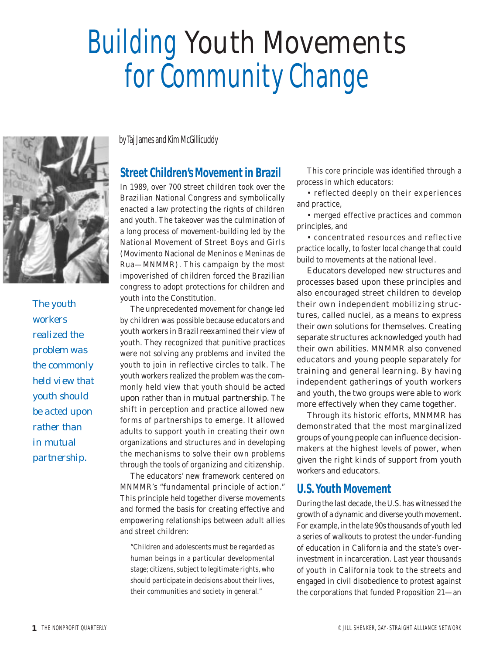# Building *Youth Movements* for Community Change



*The youth workers realized the problem was the commonly held view that youth should be acted upon rather than in mutual partnership.*

byTaj James and Kim McGillicuddy

# **Street Children's Movement in Brazil**

In 1989, over 700 street children took over the Brazilian National Congress and symbolically enacted a law protecting the rights of children and youth. The takeover was the culmination of a long process of movement-building led by the National Movement of Street Boys and Girls (Movimento Nacional de Meninos e Meninas de Rua—MNMMR). This campaign by the most impoverished of children forced the Brazilian congress to adopt protections for children and youth into the Constitution.

The unprecedented movement for change led by children was possible because educators and youth workers in Brazil reexamined their view of youth. They recognized that punitive practices were not solving any problems and invited the youth to join in reflective circles to talk. The youth workers realized the problem was the commonly held view that youth should be *acted upon* rather than in *mutual partnership.* The shift in perception and practice allowed new forms of partnerships to emerge. It allowed adults to support youth in creating their own organizations and structures and in developing the mechanisms to solve their own problems through the tools of organizing and citizenship.

The educators' new framework centered on MNMMR's "fundamental principle of action." This principle held together diverse movements and formed the basis for creating effective and empowering relationships between adult allies and street children:

"Children and adolescents must be regarded as human beings in a particular developmental stage; citizens, subject to legitimate rights, who should participate in decisions about their lives, their communities and society in general."

This core principle was identified through a process in which educators:

• reflected deeply on their experiences and practice,

• merged effective practices and common principles, and

• concentrated resources and reflective practice locally, to foster local change that could build to movements at the national level.

Educators developed new structures and processes based upon these principles and also encouraged street children to develop their own independent mobilizing structures, called nuclei, as a means to express their own solutions for themselves. Creating separate structures acknowledged youth had their own abilities. MNMMR also convened educators and young people separately for training and general learning. By having independent gatherings of youth workers and youth, the two groups were able to work more effectively when they came together.

Through its historic efforts, MNMMR has demonstrated that the most marginalized groups of young people can influence decisionmakers at the highest levels of power, when given the right kinds of support from youth workers and educators.

# **U.S. Youth Movement**

During the last decade, the U.S. has witnessed the growth of a dynamic and diverse youth movement. For example, in the late 90s thousands of youth led a series of walkouts to protest the under-funding of education in California and the state's overinvestment in incarceration. Last year thousands of youth in California took to the streets and engaged in civil disobedience to protest against the corporations that funded Proposition 21—an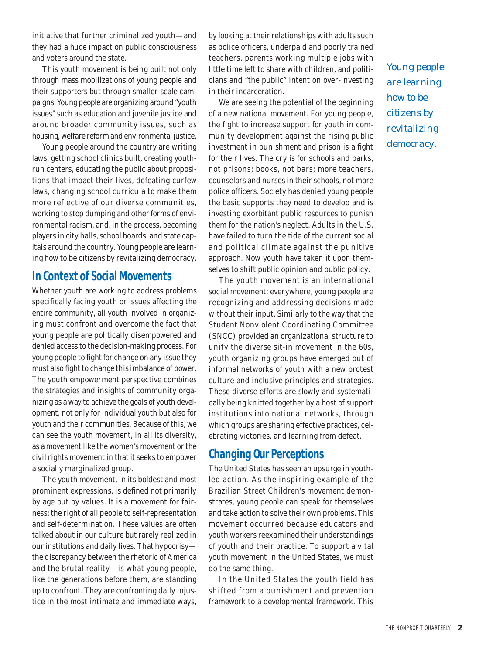initiative that further criminalized youth—and they had a huge impact on public consciousness and voters around the state.

This youth movement is being built not only through mass mobilizations of young people and their supporters but through smaller-scale campaigns. Young people are organizing around "youth issues" such as education and juvenile justice and around broader community issues, such as housing, welfare reform and environmental justice.

Young people around the country are writing laws, getting school clinics built, creating youthrun centers, educating the public about propositions that impact their lives, defeating curfew laws, changing school curricula to make them more reflective of our diverse communities, working to stop dumping and other forms of environmental racism, and, in the process, becoming players in city halls, school boards, and state capitals around the country. Young people are learning how to be citizens by revitalizing democracy.

### **In Context of Social Movements**

Whether youth are working to address problems specifically facing youth or issues affecting the entire community, all youth involved in organizing must confront and overcome the fact that young people are politically disempowered and denied access to the decision-making process. For young people to fight for change on any issue they must also fight to change this imbalance of power. The youth empowerment perspective combines the strategies and insights of community organizing as a way to achieve the goals of youth development, not only for individual youth but also for youth and their communities. Because of this, we can see the youth movement, in all its diversity, as a movement like the women's movement or the civil rights movement in that it seeks to empower a socially marginalized group.

The youth movement, in its boldest and most prominent expressions, is defined not primarily by age but by values. It is a movement for fairness: the right of all people to self-representation and self-determination. These values are often talked about in our culture but rarely realized in our institutions and daily lives. That hypocrisy the discrepancy between the rhetoric of America and the brutal reality—is what young people, like the generations before them, are standing up to confront. They are confronting daily injustice in the most intimate and immediate ways,

by looking at their relationships with adults such as police officers, underpaid and poorly trained teachers, parents working multiple jobs with little time left to share with children, and politicians and "the public" intent on over-investing in their incarceration.

We are seeing the potential of the beginning of a new national movement. For young people, the fight to increase support for youth in community development against the rising public investment in punishment and prison is a fight for their lives. The cry is for schools and parks, not prisons; books, not bars; more teachers, counselors and nurses in their schools, not more police officers. Society has denied young people the basic supports they need to develop and is investing exorbitant public resources to punish them for the nation's neglect. Adults in the U.S. have failed to turn the tide of the current social and political climate against the punitive approach. Now youth have taken it upon themselves to shift public opinion and public policy.

The youth movement is an international social movement; everywhere, young people are recognizing and addressing decisions made without their input. Similarly to the way that the Student Nonviolent Coordinating Committee (SNCC) provided an organizational structure to unify the diverse sit-in movement in the 60s, youth organizing groups have emerged out of informal networks of youth with a new protest culture and inclusive principles and strategies. These diverse efforts are slowly and systematically being knitted together by a host of support institutions into national networks, through which groups are sharing effective practices, celebrating victories, and learning from defeat.

#### **Changing Our Perceptions**

The United States has seen an upsurge in youthled action. As the inspiring example of the Brazilian Street Children's movement demonstrates, young people can speak for themselves and take action to solve their own problems. This movement occurred because educators and youth workers reexamined their understandings of youth and their practice. To support a vital youth movement in the United States, we must do the same thing.

In the United States the youth field has shifted from a punishment and prevention framework to a developmental framework. This

*Young people are learning how to be citizens by revitalizing democracy.*